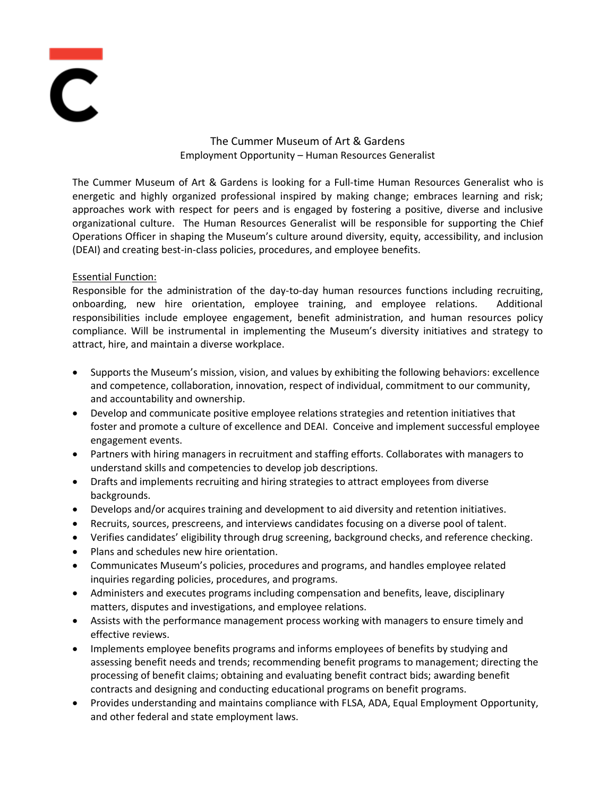

# The Cummer Museum of Art & Gardens Employment Opportunity – Human Resources Generalist

The Cummer Museum of Art & Gardens is looking for a Full-time Human Resources Generalist who is energetic and highly organized professional inspired by making change; embraces learning and risk; approaches work with respect for peers and is engaged by fostering a positive, diverse and inclusive organizational culture. The Human Resources Generalist will be responsible for supporting the Chief Operations Officer in shaping the Museum's culture around diversity, equity, accessibility, and inclusion (DEAI) and creating best-in-class policies, procedures, and employee benefits.

## Essential Function:

Responsible for the administration of the day-to-day human resources functions including recruiting, onboarding, new hire orientation, employee training, and employee relations. Additional responsibilities include employee engagement, benefit administration, and human resources policy compliance. Will be instrumental in implementing the Museum's diversity initiatives and strategy to attract, hire, and maintain a diverse workplace.

- Supports the Museum's mission, vision, and values by exhibiting the following behaviors: excellence and competence, collaboration, innovation, respect of individual, commitment to our community, and accountability and ownership.
- Develop and communicate positive employee relations strategies and retention initiatives that foster and promote a culture of excellence and DEAI. Conceive and implement successful employee engagement events.
- Partners with hiring managers in recruitment and staffing efforts. Collaborates with managers to understand skills and competencies to develop job descriptions.
- Drafts and implements recruiting and hiring strategies to attract employees from diverse backgrounds.
- Develops and/or acquires training and development to aid diversity and retention initiatives.
- Recruits, sources, prescreens, and interviews candidates focusing on a diverse pool of talent.
- Verifies candidates' eligibility through drug screening, background checks, and reference checking.
- Plans and schedules new hire orientation.
- Communicates Museum's policies, procedures and programs, and handles employee related inquiries regarding policies, procedures, and programs.
- Administers and executes programs including compensation and benefits, leave, disciplinary matters, disputes and investigations, and employee relations.
- Assists with the performance management process working with managers to ensure timely and effective reviews.
- Implements employee benefits programs and informs employees of benefits by studying and assessing benefit needs and trends; recommending benefit programs to management; directing the processing of benefit claims; obtaining and evaluating benefit contract bids; awarding benefit contracts and designing and conducting educational programs on benefit programs.
- Provides understanding and maintains compliance with FLSA, ADA, Equal Employment Opportunity, and other federal and state employment laws.